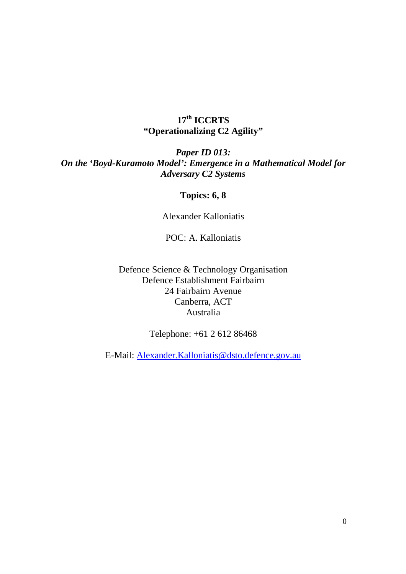# **17th ICCRTS "Operationalizing C2 Agility"**

## *Paper ID 013: On the 'Boyd-Kuramoto Model': Emergence in a Mathematical Model for Adversary C2 Systems*

## **Topics: 6, 8**

Alexander Kalloniatis

POC: A. Kalloniatis

Defence Science & Technology Organisation Defence Establishment Fairbairn 24 Fairbairn Avenue Canberra, ACT Australia

Telephone: +61 2 612 86468

E-Mail: Alexander.Kalloniatis@dsto.defence.gov.au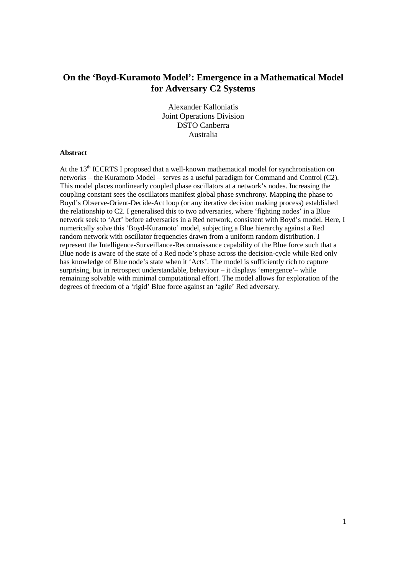### **On the 'Boyd-Kuramoto Model': Emergence in a Mathematical Model for Adversary C2 Systems**

Alexander Kalloniatis Joint Operations Division DSTO Canberra Australia

#### **Abstract**

At the 13<sup>th</sup> ICCRTS I proposed that a well-known mathematical model for synchronisation on networks – the Kuramoto Model – serves as a useful paradigm for Command and Control (C2). This model places nonlinearly coupled phase oscillators at a network's nodes. Increasing the coupling constant sees the oscillators manifest global phase synchrony. Mapping the phase to Boyd's Observe-Orient-Decide-Act loop (or any iterative decision making process) established the relationship to C2. I generalised this to two adversaries, where 'fighting nodes' in a Blue network seek to 'Act' before adversaries in a Red network, consistent with Boyd's model. Here, I numerically solve this 'Boyd-Kuramoto' model, subjecting a Blue hierarchy against a Red random network with oscillator frequencies drawn from a uniform random distribution. I represent the Intelligence-Surveillance-Reconnaissance capability of the Blue force such that a Blue node is aware of the state of a Red node's phase across the decision-cycle while Red only has knowledge of Blue node's state when it 'Acts'. The model is sufficiently rich to capture surprising, but in retrospect understandable, behaviour – it displays 'emergence'– while remaining solvable with minimal computational effort. The model allows for exploration of the degrees of freedom of a 'rigid' Blue force against an 'agile' Red adversary.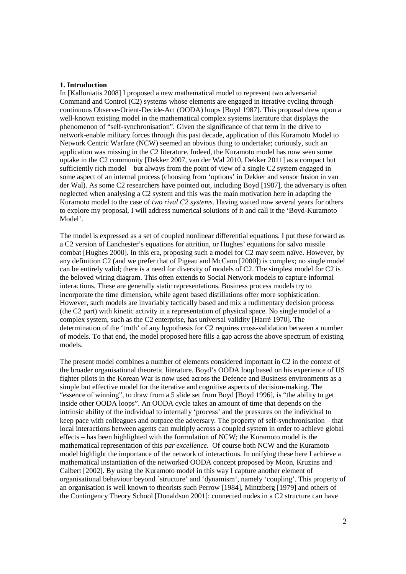#### **1. Introduction**

In [Kalloniatis 2008] I proposed a new mathematical model to represent two adversarial Command and Control (C2) systems whose elements are engaged in iterative cycling through continuous Observe-Orient-Decide-Act (OODA) loops [Boyd 1987]. This proposal drew upon a well-known existing model in the mathematical complex systems literature that displays the phenomenon of "self-synchronisation". Given the significance of that term in the drive to network-enable military forces through this past decade, application of this Kuramoto Model to Network Centric Warfare (NCW) seemed an obvious thing to undertake; curiously, such an application was missing in the C2 literature. Indeed, the Kuramoto model has now seen some uptake in the C2 community [Dekker 2007, van der Wal 2010, Dekker 2011] as a compact but sufficiently rich model – but always from the point of view of a single C2 system engaged in some aspect of an internal process (choosing from 'options' in Dekker and sensor fusion in van der Wal). As some C2 researchers have pointed out, including Boyd [1987], the adversary is often neglected when analysing a C2 system and this was the main motivation here in adapting the Kuramoto model to the case of *two rival C2 systems*. Having waited now several years for others to explore my proposal, I will address numerical solutions of it and call it the 'Boyd-Kuramoto Model'.

The model is expressed as a set of coupled nonlinear differential equations. I put these forward as a C2 version of Lanchester's equations for attrition, or Hughes' equations for salvo missile combat [Hughes 2000]. In this era, proposing such a model for C2 may seem naïve. However, by any definition C2 (and we prefer that of Pigeau and McCann [2000]) is complex; no single model can be entirely valid; there is a need for diversity of models of C2. The simplest model for C2 is the beloved wiring diagram. This often extends to Social Network models to capture informal interactions. These are generally static representations. Business process models try to incorporate the time dimension, while agent based distillations offer more sophistication. However, such models are invariably tactically based and mix a rudimentary decision process (the C2 part) with kinetic activity in a representation of physical space. No single model of a complex system, such as the C2 enterprise, has universal validity [Harré 1970]. The determination of the 'truth' of any hypothesis for C2 requires cross-validation between a number of models. To that end, the model proposed here fills a gap across the above spectrum of existing models.

The present model combines a number of elements considered important in C2 in the context of the broader organisational theoretic literature. Boyd's OODA loop based on his experience of US fighter pilots in the Korean War is now used across the Defence and Business environments as a simple but effective model for the iterative and cognitive aspects of decision-making. The "essence of winning", to draw from a 5 slide set from Boyd [Boyd 1996], is "the ability to get inside other OODA loops". An OODA cycle takes an amount of time that depends on the intrinsic ability of the individual to internally 'process' and the pressures on the individual to keep pace with colleagues and outpace the adversary. The property of self-synchronisation – that local interactions between agents can multiply across a coupled system in order to achieve global effects – has been highlighted with the formulation of NCW; the Kuramoto model is the mathematical representation of this *par excellence*. Of course both NCW and the Kuramoto model highlight the importance of the network of interactions. In unifying these here I achieve a mathematical instantiation of the networked OODA concept proposed by Moon, Kruzins and Calbert [2002]. By using the Kuramoto model in this way I capture another element of organisational behaviour beyond `structure' and 'dynamism', namely 'coupling'. This property of an organisation is well known to theorists such Perrow [1984], Mintzberg [1979] and others of the Contingency Theory School [Donaldson 2001]: connected nodes in a C2 structure can have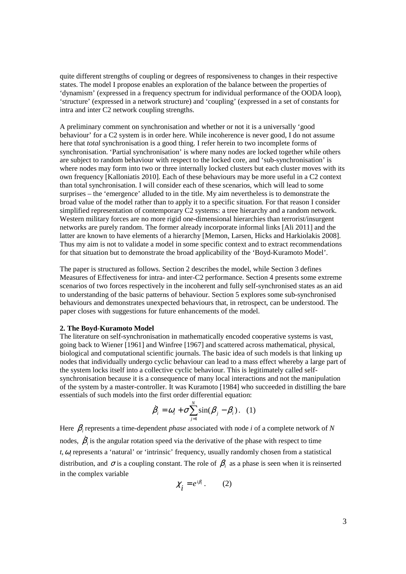quite different strengths of coupling or degrees of responsiveness to changes in their respective states. The model I propose enables an exploration of the balance between the properties of 'dynamism' (expressed in a frequency spectrum for individual performance of the OODA loop), 'structure' (expressed in a network structure) and 'coupling' (expressed in a set of constants for intra and inter C2 network coupling strengths.

A preliminary comment on synchronisation and whether or not it is a universally 'good behaviour' for a C2 system is in order here. While incoherence is never good, I do not assume here that *total* synchronisation is a good thing. I refer herein to two incomplete forms of synchronisation. 'Partial synchronisation' is where many nodes are locked together while others are subject to random behaviour with respect to the locked core, and 'sub-synchronisation' is where nodes may form into two or three internally locked clusters but each cluster moves with its own frequency [Kalloniatis 2010]. Each of these behaviours may be more useful in a C2 context than total synchronisation. I will consider each of these scenarios, which will lead to some surprises – the 'emergence' alluded to in the title. My aim nevertheless is to demonstrate the broad value of the model rather than to apply it to a specific situation. For that reason I consider simplified representation of contemporary C2 systems: a tree hierarchy and a random network. Western military forces are no more rigid one-dimensional hierarchies than terrorist/insurgent networks are purely random. The former already incorporate informal links [Ali 2011] and the latter are known to have elements of a hierarchy [Memon, Larsen, Hicks and Harkiolakis 2008]. Thus my aim is not to validate a model in some specific context and to extract recommendations for that situation but to demonstrate the broad applicability of the 'Boyd-Kuramoto Model'.

The paper is structured as follows. Section 2 describes the model, while Section 3 defines Measures of Effectiveness for intra- and inter-C2 performance. Section 4 presents some extreme scenarios of two forces respectively in the incoherent and fully self-synchronised states as an aid to understanding of the basic patterns of behaviour. Section 5 explores some sub-synchronised behaviours and demonstrates unexpected behaviours that, in retrospect, can be understood. The paper closes with suggestions for future enhancements of the model.

#### **2. The Boyd-Kuramoto Model**

The literature on self-synchronisation in mathematically encoded cooperative systems is vast, going back to Wiener [1961] and Winfree [1967] and scattered across mathematical, physical, biological and computational scientific journals. The basic idea of such models is that linking up nodes that individually undergo cyclic behaviour can lead to a mass effect whereby a large part of the system locks itself into a collective cyclic behaviour. This is legitimately called selfsynchronisation because it is a consequence of many local interactions and not the manipulation of the system by a master-controller. It was Kuramoto [1984] who succeeded in distilling the bare essentials of such models into the first order differential equation:

$$
\dot{\beta}_i = \omega_i + \sigma \sum_{j=1}^N \sin(\beta_j - \beta_i). \quad (1)
$$

Here β *<sup>i</sup>* represents a time-dependent *phase* associated with node *i* of a complete network of *N* nodes,  $\dot{\beta}_i$  is the angular rotation speed via the derivative of the phase with respect to time  $t, \omega_i$  represents a 'natural' or 'intrinsic' frequency, usually randomly chosen from a statistical distribution, and  $\sigma$  is a coupling constant. The role of  $\beta$  *i* as a phase is seen when it is reinserted in the complex variable

$$
\chi_{\vec{i}} = e^{i\beta_i} \,. \tag{2}
$$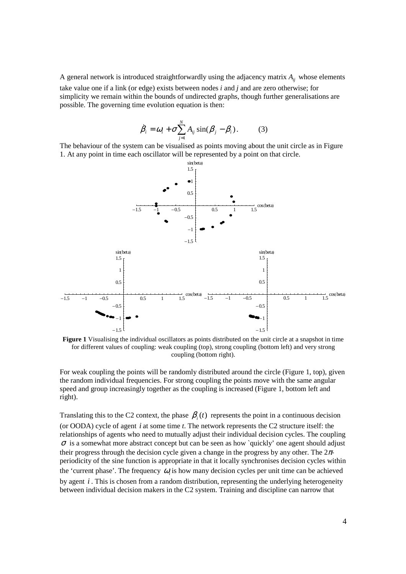A general network is introduced straightforwardly using the adjacency matrix  $A_{ii}$  whose elements take value one if a link (or edge) exists between nodes *i* and *j* and are zero otherwise; for simplicity we remain within the bounds of undirected graphs, though further generalisations are possible. The governing time evolution equation is then:

$$
\dot{\beta}_i = \omega_i + \sigma \sum_{j=1}^N A_{ij} \sin(\beta_j - \beta_i). \tag{3}
$$

The behaviour of the system can be visualised as points moving about the unit circle as in Figure 1. At any point in time each oscillator will be represented by a point on that circle.



Figure 1 Visualising the individual oscillators as points distributed on the unit circle at a snapshot in time for different values of coupling: weak coupling (top), strong coupling (bottom left) and very strong coupling (bottom right).

For weak coupling the points will be randomly distributed around the circle (Figure 1, top), given the random individual frequencies. For strong coupling the points move with the same angular speed and group increasingly together as the coupling is increased (Figure 1, bottom left and right).

Translating this to the C2 context, the phase  $\beta_i(t)$  represents the point in a continuous decision (or OODA) cycle of agent *i* at some time *t*. The network represents the C2 structure itself: the relationships of agents who need to mutually adjust their individual decision cycles. The coupling  $\sigma$  is a somewhat more abstract concept but can be seen as how `quickly' one agent should adjust their progress through the decision cycle given a change in the progress by any other. The  $2\pi$ periodicity of the sine function is appropriate in that it locally synchronises decision cycles within the 'current phase'. The frequency  $\omega_i$  is how many decision cycles per unit time can be achieved by agent *i* . This is chosen from a random distribution, representing the underlying heterogeneity between individual decision makers in the C2 system. Training and discipline can narrow that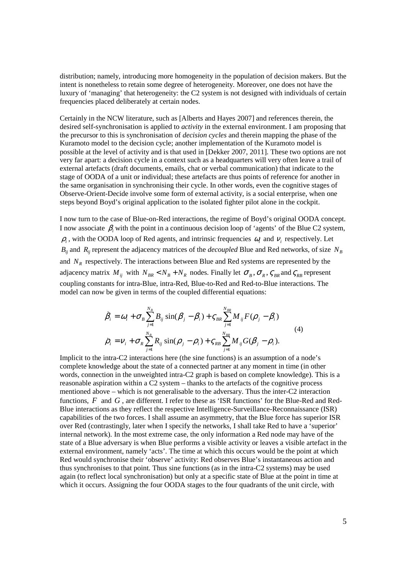distribution; namely, introducing more homogeneity in the population of decision makers. But the intent is nonetheless to retain some degree of heterogeneity. Moreover, one does not have the luxury of 'managing' that heterogeneity: the C2 system is not designed with individuals of certain frequencies placed deliberately at certain nodes.

Certainly in the NCW literature, such as [Alberts and Hayes 2007] and references therein, the desired self-synchronisation is applied to *activity* in the external environment. I am proposing that the precursor to this is synchronisation of *decision cycles* and therein mapping the phase of the Kuramoto model to the decision cycle; another implementation of the Kuramoto model is possible at the level of activity and is that used in [Dekker 2007, 2011]. These two options are not very far apart: a decision cycle in a context such as a headquarters will very often leave a trail of external artefacts (draft documents, emails, chat or verbal communication) that indicate to the stage of OODA of a unit or individual; these artefacts are thus points of reference for another in the same organisation in synchronising their cycle. In other words, even the cognitive stages of Observe-Orient-Decide involve some form of external activity, is a social enterprise, when one steps beyond Boyd's original application to the isolated fighter pilot alone in the cockpit.

I now turn to the case of Blue-on-Red interactions, the regime of Boyd's original OODA concept. I now associate β*<sup>i</sup>* with the point in a continuous decision loop of 'agents' of the Blue C2 system,  $\rho_i$ , with the OODA loop of Red agents, and intrinsic frequencies  $\omega_i$  and  $v_i$  respectively. Let  $B_{ij}$  and  $R_{ij}$  represent the adjacency matrices of the *decoupled* Blue and Red networks, of size  $N_B$ and  $N_R$  respectively. The interactions between Blue and Red systems are represented by the adjacency matrix  $M_{ij}$  with  $N_{BR} < N_B + N_R$  nodes. Finally let  $\sigma_B$ ,  $\sigma_R$ ,  $\sigma_{BR}$  and  $\sigma_{RB}$  represent coupling constants for intra-Blue, intra-Red, Blue-to-Red and Red-to-Blue interactions. The model can now be given in terms of the coupled differential equations:

$$
\dot{\beta}_i = \omega_i + \sigma_B \sum_{j=1}^{N_B} B_{ij} \sin(\beta_j - \beta_i) + \varsigma_{BR} \sum_{j=1}^{N_{BR}} M_{ij} F(\rho_j - \beta_i)
$$
\n
$$
\dot{\rho}_i = v_i + \sigma_R \sum_{j=1}^{N_B} R_{ij} \sin(\rho_j - \rho_i) + \varsigma_{RB} \sum_{j=1}^{N_{BR}} M_{ij} G(\beta_j - \rho_i).
$$
\n(4)

Implicit to the intra-C2 interactions here (the sine functions) is an assumption of a node's complete knowledge about the state of a connected partner at any moment in time (in other words, connection in the unweighted intra-C2 graph is based on complete knowledge). This is a reasonable aspiration within a C2 system – thanks to the artefacts of the cognitive process mentioned above – which is not generalisable to the adversary. Thus the inter-C2 interaction functions, *F* and *G* , are different. I refer to these as 'ISR functions' for the Blue-Red and Red-Blue interactions as they reflect the respective Intelligence-Surveillance-Reconnaissance (ISR) capabilities of the two forces. I shall assume an asymmetry, that the Blue force has superior ISR over Red (contrastingly, later when I specify the networks, I shall take Red to have a 'superior' internal network). In the most extreme case, the only information a Red node may have of the state of a Blue adversary is when Blue performs a visible activity or leaves a visible artefact in the external environment, namely 'acts'. The time at which this occurs would be the point at which Red would synchronise their 'observe' activity: Red observes Blue's instantaneous action and thus synchronises to that point. Thus sine functions (as in the intra-C2 systems) may be used again (to reflect local synchronisation) but only at a specific state of Blue at the point in time at which it occurs. Assigning the four OODA stages to the four quadrants of the unit circle, with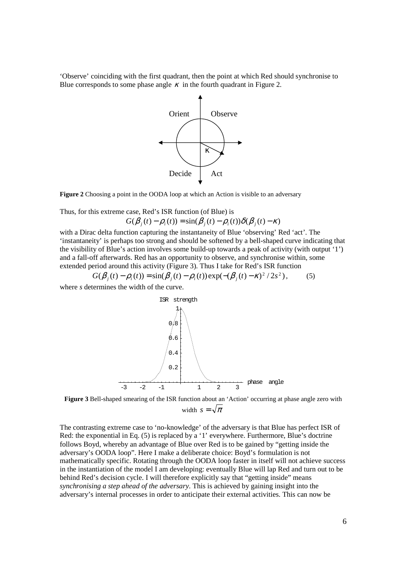'Observe' coinciding with the first quadrant, then the point at which Red should synchronise to Blue corresponds to some phase angle  $\kappa$  in the fourth quadrant in Figure 2.



**Figure 2** Choosing a point in the OODA loop at which an Action is visible to an adversary

Thus, for this extreme case, Red's ISR function (of Blue) is

$$
G(\beta_j(t) - \rho_i(t)) = \sin(\beta_j(t) - \rho_i(t))\delta(\beta_j(t) - \kappa)
$$

with a Dirac delta function capturing the instantaneity of Blue 'observing' Red 'act'. The 'instantaneity' is perhaps too strong and should be softened by a bell-shaped curve indicating that the visibility of Blue's action involves some build-up towards a peak of activity (with output '1') and a fall-off afterwards. Red has an opportunity to observe, and synchronise within, some extended period around this activity (Figure 3). Thus I take for Red's ISR function

$$
G(\beta_j(t) - \rho_i(t)) = \sin(\beta_j(t) - \rho_i(t)) \exp(-(\beta_j(t) - \kappa)^2 / 2s^2),
$$
 (5)

where *s* determines the width of the curve.



**Figure 3** Bell-shaped smearing of the ISR function about an 'Action' occurring at phase angle zero with width  $s = \sqrt{\pi}$ 

The contrasting extreme case to 'no-knowledge' of the adversary is that Blue has perfect ISR of Red: the exponential in Eq. (5) is replaced by a '1' everywhere. Furthermore, Blue's doctrine follows Boyd, whereby an advantage of Blue over Red is to be gained by "getting inside the adversary's OODA loop". Here I make a deliberate choice: Boyd's formulation is not mathematically specific. Rotating through the OODA loop faster in itself will not achieve success in the instantiation of the model I am developing: eventually Blue will lap Red and turn out to be behind Red's decision cycle. I will therefore explicitly say that "getting inside" means *synchronising a step ahead of the adversary*. This is achieved by gaining insight into the adversary's internal processes in order to anticipate their external activities. This can now be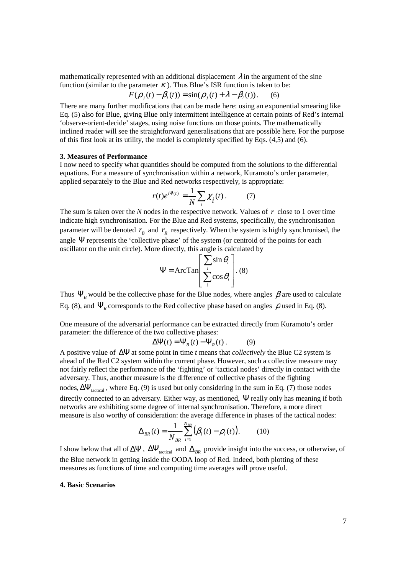mathematically represented with an additional displacement  $\lambda$  in the argument of the sine function (similar to the parameter  $\kappa$ ). Thus Blue's ISR function is taken to be:

$$
F(\rho_j(t) - \beta_i(t)) = \sin(\rho_j(t) + \lambda - \beta_i(t)).
$$
 (6)

There are many further modifications that can be made here: using an exponential smearing like Eq. (5) also for Blue, giving Blue only intermittent intelligence at certain points of Red's internal 'observe-orient-decide' stages, using noise functions on those points. The mathematically inclined reader will see the straightforward generalisations that are possible here. For the purpose of this first look at its utility, the model is completely specified by Eqs. (4,5) and (6).

#### **3. Measures of Performance**

I now need to specify what quantities should be computed from the solutions to the differential equations. For a measure of synchronisation within a network, Kuramoto's order parameter, applied separately to the Blue and Red networks respectively, is appropriate:

$$
r(t)e^{i\Psi(t)} = \frac{1}{N} \sum_{i} \chi_{i}(t). \tag{7}
$$

The sum is taken over the *N* nodes in the respective network. Values of *r* close to 1 over time indicate high synchronisation. For the Blue and Red systems, specifically, the synchronisation parameter will be denoted  $r_B$  and  $r_R$  respectively. When the system is highly synchronised, the angle  $\Psi$  represents the 'collective phase' of the system (or centroid of the points for each oscillator on the unit circle). More directly, this angle is calculated by

$$
\Psi = ArcTan\left[\frac{\sum_{i} \sin \theta_{i}}{\sum_{i} \cos \theta_{i}}\right]. (8)
$$

Thus  $\Psi_B$  would be the collective phase for the Blue nodes, where angles  $\beta$  are used to calculate Eq. (8), and  $\Psi_R$  corresponds to the Red collective phase based on angles  $\rho$  used in Eq. (8).

One measure of the adversarial performance can be extracted directly from Kuramoto's order parameter: the difference of the two collective phases:

$$
\Delta \Psi(t) = \Psi_B(t) - \Psi_R(t) \,. \tag{9}
$$

A positive value of ∆Ψ at some point in time *t* means that *collectively* the Blue C2 system is ahead of the Red C2 system within the current phase. However, such a collective measure may not fairly reflect the performance of the 'fighting' or 'tactical nodes' directly in contact with the adversary. Thus, another measure is the difference of collective phases of the fighting nodes,  $\Delta \Psi_{\text{tected}}$ , where Eq. (9) is used but only considering in the sum in Eq. (7) those nodes directly connected to an adversary. Either way, as mentioned, Ψ really only has meaning if both networks are exhibiting some degree of internal synchronisation. Therefore, a more direct measure is also worthy of consideration: the average difference in phases of the tactical nodes:

$$
\Delta_{BR}(t) = \frac{1}{N_{BR}} \sum_{i=1}^{N_{BR}} (\beta_i(t) - \rho_i(t)).
$$
 (10)

I show below that all of  $\Delta \Psi$ ,  $\Delta \Psi$ <sub>tactical</sub> and  $\Delta_{BR}$  provide insight into the success, or otherwise, of the Blue network in getting inside the OODA loop of Red. Indeed, both plotting of these measures as functions of time and computing time averages will prove useful.

#### **4. Basic Scenarios**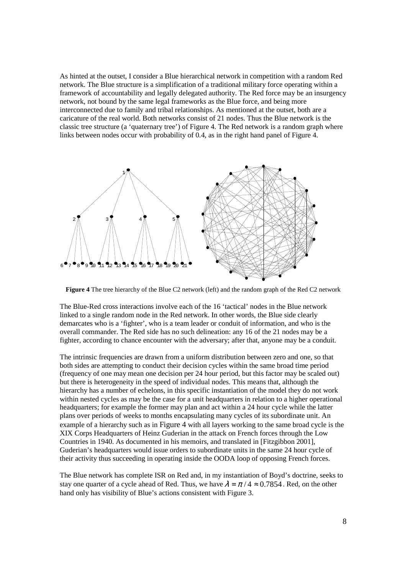As hinted at the outset, I consider a Blue hierarchical network in competition with a random Red network. The Blue structure is a simplification of a traditional military force operating within a framework of accountability and legally delegated authority. The Red force may be an insurgency network, not bound by the same legal frameworks as the Blue force, and being more interconnected due to family and tribal relationships. As mentioned at the outset, both are a caricature of the real world. Both networks consist of 21 nodes. Thus the Blue network is the classic tree structure (a 'quaternary tree') of Figure 4. The Red network is a random graph where links between nodes occur with probability of 0.4, as in the right hand panel of Figure 4.



**Figure 4** The tree hierarchy of the Blue C2 network (left) and the random graph of the Red C2 network

The Blue-Red cross interactions involve each of the 16 'tactical' nodes in the Blue network linked to a single random node in the Red network. In other words, the Blue side clearly demarcates who is a 'fighter', who is a team leader or conduit of information, and who is the overall commander. The Red side has no such delineation: any 16 of the 21 nodes may be a fighter, according to chance encounter with the adversary; after that, anyone may be a conduit.

The intrinsic frequencies are drawn from a uniform distribution between zero and one, so that both sides are attempting to conduct their decision cycles within the same broad time period (frequency of one may mean one decision per 24 hour period, but this factor may be scaled out) but there is heterogeneity in the speed of individual nodes. This means that, although the hierarchy has a number of echelons, in this specific instantiation of the model they do not work within nested cycles as may be the case for a unit headquarters in relation to a higher operational headquarters; for example the former may plan and act within a 24 hour cycle while the latter plans over periods of weeks to months encapsulating many cycles of its subordinate unit. An example of a hierarchy such as in Figure 4 with all layers working to the same broad cycle is the XIX Corps Headquarters of Heinz Guderian in the attack on French forces through the Low Countries in 1940. As documented in his memoirs, and translated in [Fitzgibbon 2001], Guderian's headquarters would issue orders to subordinate units in the same 24 hour cycle of their activity thus succeeding in operating inside the OODA loop of opposing French forces.

The Blue network has complete ISR on Red and, in my instantiation of Boyd's doctrine, seeks to stay one quarter of a cycle ahead of Red. Thus, we have  $\lambda = \pi/4 \approx 0.7854$ . Red, on the other hand only has visibility of Blue's actions consistent with Figure 3.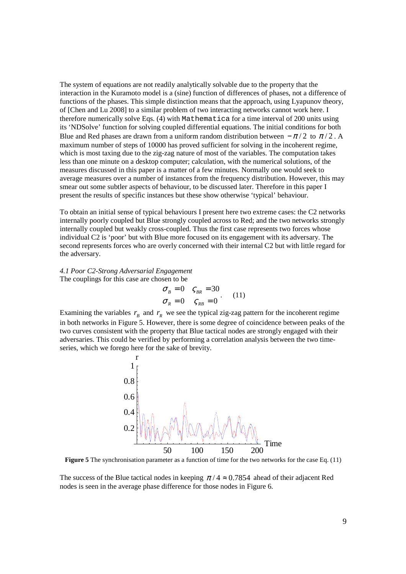The system of equations are not readily analytically solvable due to the property that the interaction in the Kuramoto model is a (sine) function of differences of phases, not a difference of functions of the phases. This simple distinction means that the approach, using Lyapunov theory, of [Chen and Lu 2008] to a similar problem of two interacting networks cannot work here. I therefore numerically solve Eqs. (4) with Mathematica for a time interval of 200 units using its 'NDSolve' function for solving coupled differential equations. The initial conditions for both Blue and Red phases are drawn from a uniform random distribution between  $-\pi/2$  to  $\pi/2$ . A maximum number of steps of 10000 has proved sufficient for solving in the incoherent regime, which is most taxing due to the zig-zag nature of most of the variables. The computation takes less than one minute on a desktop computer; calculation, with the numerical solutions, of the measures discussed in this paper is a matter of a few minutes. Normally one would seek to average measures over a number of instances from the frequency distribution. However, this may smear out some subtler aspects of behaviour, to be discussed later. Therefore in this paper I present the results of specific instances but these show otherwise 'typical' behaviour.

To obtain an initial sense of typical behaviours I present here two extreme cases: the C2 networks internally poorly coupled but Blue strongly coupled across to Red; and the two networks strongly internally coupled but weakly cross-coupled. Thus the first case represents two forces whose individual C2 is 'poor' but with Blue more focused on its engagement with its adversary. The second represents forces who are overly concerned with their internal C2 but with little regard for the adversary.

*4.1 Poor C2-Strong Adversarial Engagement*  The couplings for this case are chosen to be

$$
\begin{aligned}\n\sigma_B &= 0 & \varsigma_{BR} &= 30 \\
\sigma_R &= 0 & \varsigma_{RB} &= 0\n\end{aligned} (11)
$$

Examining the variables  $r_B$  and  $r_R$  we see the typical zig-zag pattern for the incoherent regime in both networks in Figure 5. However, there is some degree of coincidence between peaks of the two curves consistent with the property that Blue tactical nodes are strongly engaged with their adversaries. This could be verified by performing a correlation analysis between the two timeseries, which we forego here for the sake of brevity.



**Figure 5** The synchronisation parameter as a function of time for the two networks for the case Eq. (11)

The success of the Blue tactical nodes in keeping  $\pi/4 \approx 0.7854$  ahead of their adjacent Red nodes is seen in the average phase difference for those nodes in Figure 6.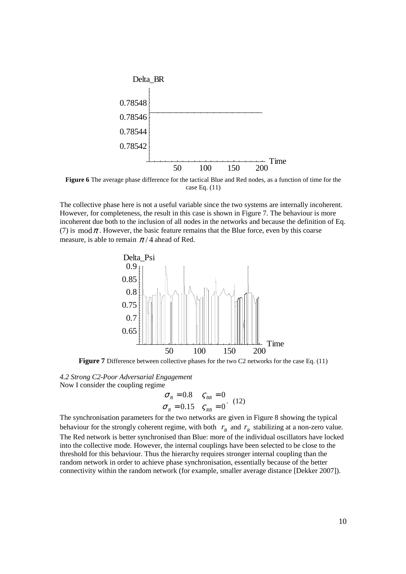

**Figure 6** The average phase difference for the tactical Blue and Red nodes, as a function of time for the case Eq. (11)

The collective phase here is not a useful variable since the two systems are internally incoherent. However, for completeness, the result in this case is shown in Figure 7. The behaviour is more incoherent due both to the inclusion of all nodes in the networks and because the definition of Eq. (7) is  $\text{mod } \pi$ . However, the basic feature remains that the Blue force, even by this coarse measure, is able to remain  $\pi/4$  ahead of Red.



**Figure 7** Difference between collective phases for the two C2 networks for the case Eq. (11)

*4.2 Strong C2-Poor Adversarial Engagement*  Now I consider the coupling regime

$$
\sigma_B = 0.8 \quad \varsigma_{BR} = 0
$$
  
\n
$$
\sigma_R = 0.15 \quad \varsigma_{RB} = 0
$$
 (12)

The synchronisation parameters for the two networks are given in Figure 8 showing the typical behaviour for the strongly coherent regime, with both  $r_B$  and  $r_R$  stabilizing at a non-zero value. The Red network is better synchronised than Blue: more of the individual oscillators have locked into the collective mode. However, the internal couplings have been selected to be close to the threshold for this behaviour. Thus the hierarchy requires stronger internal coupling than the random network in order to achieve phase synchronisation, essentially because of the better connectivity within the random network (for example, smaller average distance [Dekker 2007]).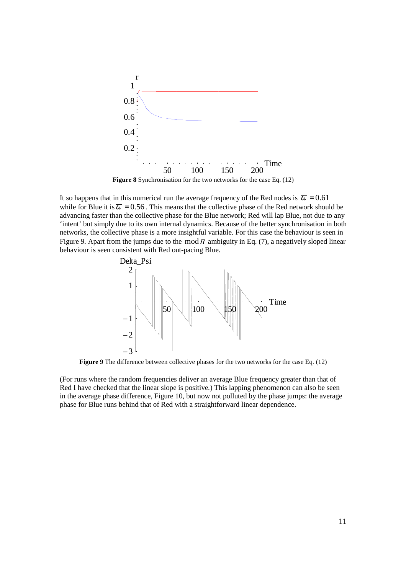

**Figure 8** Synchronisation for the two networks for the case Eq. (12)

It so happens that in this numerical run the average frequency of the Red nodes is  $\bar{\omega} = 0.61$ . while for Blue it is  $\overline{\omega} = 0.56$ . This means that the collective phase of the Red network should be advancing faster than the collective phase for the Blue network; Red will lap Blue, not due to any 'intent' but simply due to its own internal dynamics. Because of the better synchronisation in both networks, the collective phase is a more insightful variable. For this case the behaviour is seen in Figure 9. Apart from the jumps due to the mod  $\pi$  ambiguity in Eq. (7), a negatively sloped linear behaviour is seen consistent with Red out-pacing Blue.



**Figure 9** The difference between collective phases for the two networks for the case Eq. (12)

(For runs where the random frequencies deliver an average Blue frequency greater than that of Red I have checked that the linear slope is positive.) This lapping phenomenon can also be seen in the average phase difference, Figure 10, but now not polluted by the phase jumps: the average phase for Blue runs behind that of Red with a straightforward linear dependence.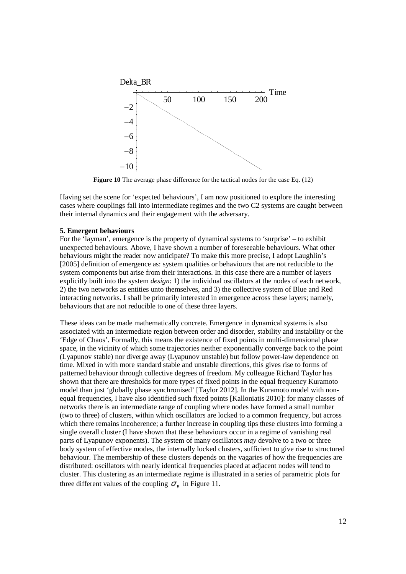

**Figure 10** The average phase difference for the tactical nodes for the case Eq. (12)

Having set the scene for 'expected behaviours', I am now positioned to explore the interesting cases where couplings fall into intermediate regimes and the two C2 systems are caught between their internal dynamics and their engagement with the adversary.

#### **5. Emergent behaviours**

For the 'layman', emergence is the property of dynamical systems to 'surprise' – to exhibit unexpected behaviours. Above, I have shown a number of foreseeable behaviours. What other behaviours might the reader now anticipate? To make this more precise, I adopt Laughlin's [2005] definition of emergence as: system qualities or behaviours that are not reducible to the system components but arise from their interactions. In this case there are a number of layers explicitly built into the system *design*: 1) the individual oscillators at the nodes of each network, 2) the two networks as entities unto themselves, and 3) the collective system of Blue and Red interacting networks. I shall be primarily interested in emergence across these layers; namely, behaviours that are not reducible to one of these three layers.

These ideas can be made mathematically concrete. Emergence in dynamical systems is also associated with an intermediate region between order and disorder, stability and instability or the 'Edge of Chaos'. Formally, this means the existence of fixed points in multi-dimensional phase space, in the vicinity of which some trajectories neither exponentially converge back to the point (Lyapunov stable) nor diverge away (Lyapunov unstable) but follow power-law dependence on time. Mixed in with more standard stable and unstable directions, this gives rise to forms of patterned behaviour through collective degrees of freedom. My colleague Richard Taylor has shown that there are thresholds for more types of fixed points in the equal frequency Kuramoto model than just 'globally phase synchronised' [Taylor 2012]. In the Kuramoto model with nonequal frequencies, I have also identified such fixed points [Kalloniatis 2010]: for many classes of networks there is an intermediate range of coupling where nodes have formed a small number (two to three) of clusters, within which oscillators are locked to a common frequency, but across which there remains incoherence; a further increase in coupling tips these clusters into forming a single overall cluster (I have shown that these behaviours occur in a regime of vanishing real parts of Lyapunov exponents). The system of many oscillators *may* devolve to a two or three body system of effective modes, the internally locked clusters, sufficient to give rise to structured behaviour. The membership of these clusters depends on the vagaries of how the frequencies are distributed: oscillators with nearly identical frequencies placed at adjacent nodes will tend to cluster. This clustering as an intermediate regime is illustrated in a series of parametric plots for three different values of the coupling  $\sigma_B$  in Figure 11.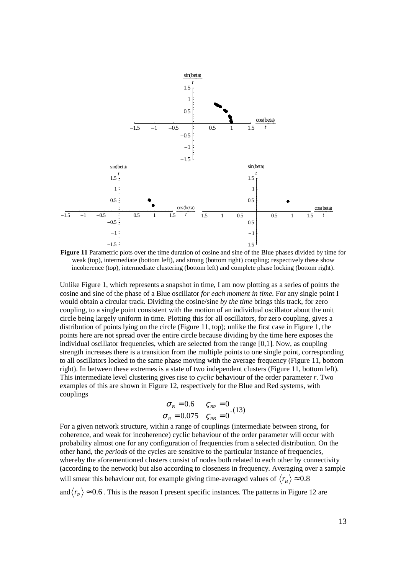

**Figure 11** Parametric plots over the time duration of cosine and sine of the Blue phases divided by time for weak (top), intermediate (bottom left), and strong (bottom right) coupling; respectively these show incoherence (top), intermediate clustering (bottom left) and complete phase locking (bottom right).

Unlike Figure 1, which represents a snapshot in time, I am now plotting as a series of points the cosine and sine of the phase of a Blue oscillator *for each moment in time*. For any single point I would obtain a circular track. Dividing the cosine/sine *by the time* brings this track, for zero coupling, to a single point consistent with the motion of an individual oscillator about the unit circle being largely uniform in time. Plotting this for all oscillators, for zero coupling, gives a distribution of points lying on the circle (Figure 11, top); unlike the first case in Figure 1, the points here are not spread over the entire circle because dividing by the time here exposes the individual oscillator frequencies, which are selected from the range [0,1]. Now, as coupling strength increases there is a transition from the multiple points to one single point, corresponding to all oscillators locked to the same phase moving with the average frequency (Figure 11, bottom right). In between these extremes is a state of two independent clusters (Figure 11, bottom left). This intermediate level clustering gives rise to *cyclic* behaviour of the order parameter *r*. Two examples of this are shown in Figure 12, respectively for the Blue and Red systems, with couplings

$$
\sigma_B = 0.6 \qquad \varsigma_{BR} = 0
$$
  

$$
\sigma_R = 0.075 \qquad \varsigma_{RB} = 0
$$
  
(13)

For a given network structure, within a range of couplings (intermediate between strong, for coherence, and weak for incoherence) cyclic behaviour of the order parameter will occur with probability almost one for any configuration of frequencies from a selected distribution. On the other hand, the *periods* of the cycles are sensitive to the particular instance of frequencies, whereby the aforementioned clusters consist of nodes both related to each other by connectivity (according to the network) but also according to closeness in frequency. Averaging over a sample will smear this behaviour out, for example giving time-averaged values of  $\langle r_{\scriptscriptstyle B} \rangle \approx 0.8$ 

and  $\langle r_R \rangle \approx 0.6$ . This is the reason I present specific instances. The patterns in Figure 12 are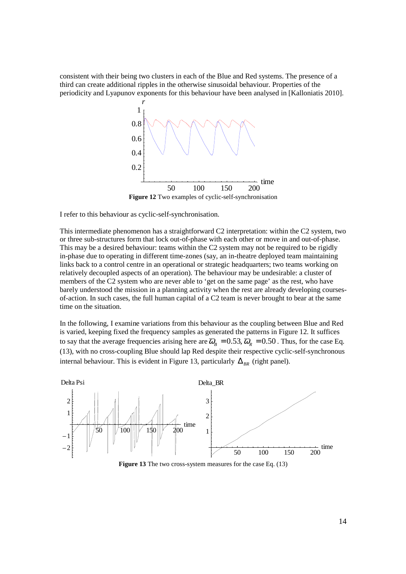consistent with their being two clusters in each of the Blue and Red systems. The presence of a third can create additional ripples in the otherwise sinusoidal behaviour. Properties of the periodicity and Lyapunov exponents for this behaviour have been analysed in [Kalloniatis 2010].



**Figure 12** Two examples of cyclic-self-synchronisation

I refer to this behaviour as cyclic-self-synchronisation.

This intermediate phenomenon has a straightforward C2 interpretation: within the C2 system, two or three sub-structures form that lock out-of-phase with each other or move in and out-of-phase. This may be a desired behaviour: teams within the C2 system may not be required to be rigidly in-phase due to operating in different time-zones (say, an in-theatre deployed team maintaining links back to a control centre in an operational or strategic headquarters; two teams working on relatively decoupled aspects of an operation). The behaviour may be undesirable: a cluster of members of the C2 system who are never able to 'get on the same page' as the rest, who have barely understood the mission in a planning activity when the rest are already developing coursesof-action. In such cases, the full human capital of a C2 team is never brought to bear at the same time on the situation.

In the following, I examine variations from this behaviour as the coupling between Blue and Red is varied, keeping fixed the frequency samples as generated the patterns in Figure 12. It suffices to say that the average frequencies arising here are  $\overline{\omega}_B = 0.53$ ,  $\overline{\omega}_R = 0.50$ . Thus, for the case Eq. (13), with no cross-coupling Blue should lap Red despite their respective cyclic-self-synchronous internal behaviour. This is evident in Figure 13, particularly  $\Delta_{BB}$  (right panel).



**Figure 13** The two cross-system measures for the case Eq. (13)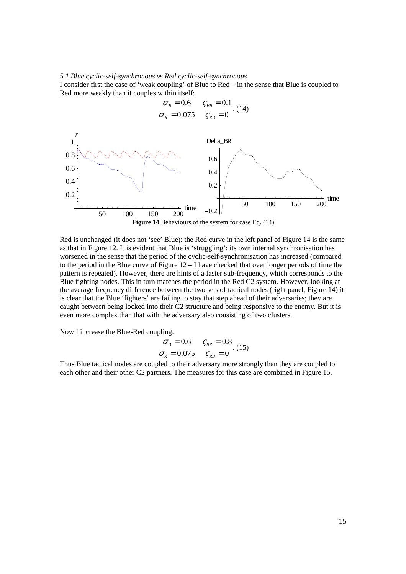#### *5.1 Blue cyclic-self-synchronous vs Red cyclic-self-synchronous*

I consider first the case of 'weak coupling' of Blue to Red – in the sense that Blue is coupled to Red more weakly than it couples within itself:



Red is unchanged (it does not 'see' Blue): the Red curve in the left panel of Figure 14 is the same as that in Figure 12. It is evident that Blue is 'struggling': its own internal synchronisation has worsened in the sense that the period of the cyclic-self-synchronisation has increased (compared to the period in the Blue curve of Figure 12 – I have checked that over longer periods of time the pattern is repeated). However, there are hints of a faster sub-frequency, which corresponds to the Blue fighting nodes. This in turn matches the period in the Red C2 system. However, looking at the average frequency difference between the two sets of tactical nodes (right panel, Figure 14) it is clear that the Blue 'fighters' are failing to stay that step ahead of their adversaries; they are caught between being locked into their C2 structure and being responsive to the enemy. But it is even more complex than that with the adversary also consisting of two clusters.

Now I increase the Blue-Red coupling:

$$
\sigma_B = 0.6 \quad \varsigma_{BR} = 0.8
$$
  

$$
\sigma_R = 0.075 \quad \varsigma_{RB} = 0
$$
 (15)

Thus Blue tactical nodes are coupled to their adversary more strongly than they are coupled to each other and their other C2 partners. The measures for this case are combined in Figure 15.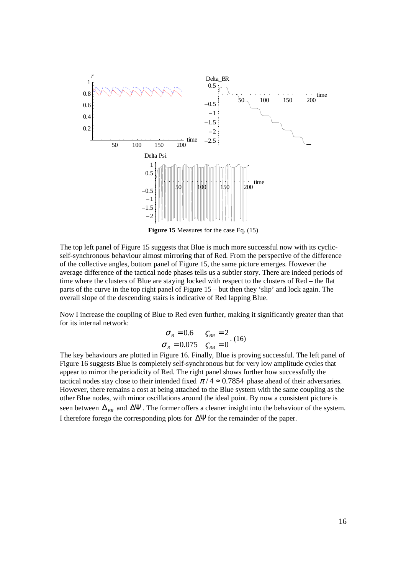

**Figure 15** Measures for the case Eq. (15)

The top left panel of Figure 15 suggests that Blue is much more successful now with its cyclicself-synchronous behaviour almost mirroring that of Red. From the perspective of the difference of the collective angles, bottom panel of Figure 15, the same picture emerges. However the average difference of the tactical node phases tells us a subtler story. There are indeed periods of time where the clusters of Blue are staying locked with respect to the clusters of Red – the flat parts of the curve in the top right panel of Figure 15 – but then they 'slip' and lock again. The overall slope of the descending stairs is indicative of Red lapping Blue.

Now I increase the coupling of Blue to Red even further, making it significantly greater than that for its internal network:

$$
\sigma_B = 0.6 \qquad \varsigma_{BR} = 2
$$
  
\n
$$
\sigma_R = 0.075 \qquad \varsigma_{RB} = 0
$$
 (16)

The key behaviours are plotted in Figure 16. Finally, Blue is proving successful. The left panel of Figure 16 suggests Blue is completely self-synchronous but for very low amplitude cycles that appear to mirror the periodicity of Red. The right panel shows further how successfully the tactical nodes stay close to their intended fixed  $\pi/4 \approx 0.7854$  phase ahead of their adversaries. However, there remains a cost at being attached to the Blue system with the same coupling as the other Blue nodes, with minor oscillations around the ideal point. By now a consistent picture is seen between  $\Delta_{BR}$  and  $\Delta \Psi$ . The former offers a cleaner insight into the behaviour of the system. I therefore forego the corresponding plots for ∆Ψ for the remainder of the paper.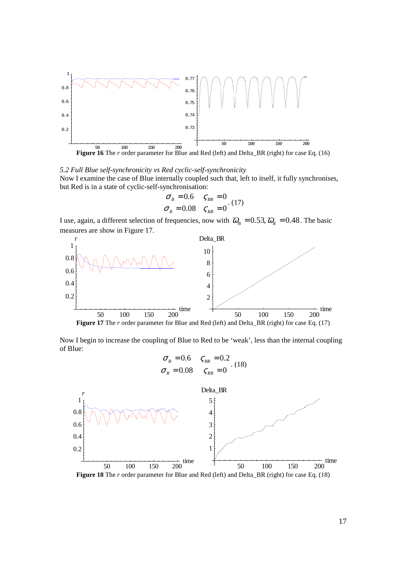

*5.2 Full Blue self-synchronicity vs Red cyclic-self-synchronicity*  Now I examine the case of Blue internally coupled such that, left to itself, it fully synchronises, but Red is in a state of cyclic-self-synchronisation:

$$
\sigma_B = 0.6 \quad \varsigma_{BR} = 0
$$
  

$$
\sigma_R = 0.08 \quad \varsigma_{RB} = 0
$$
 (17)

I use, again, a different selection of frequencies, now with  $\overline{\omega}_B = 0.53$ ,  $\overline{\omega}_R = 0.48$ . The basic measures are show in Figure 17.



Now I begin to increase the coupling of Blue to Red to be 'weak', less than the internal coupling of Blue:



**Figure 18** The *r* order parameter for Blue and Red (left) and Delta\_BR (right) for case Eq. (18)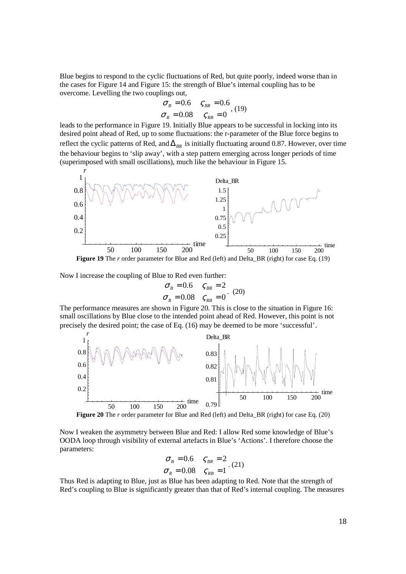Blue begins to respond to the cyclic fluctuations of Red, but quite poorly, indeed worse than in the cases for Figure 14 and Figure 15: the strength of Blue's internal coupling has to be overcome. Levelling the two couplings out,

$$
\sigma_B = 0.6 \quad \varsigma_{BR} = 0.6
$$
  

$$
\sigma_R = 0.08 \quad \varsigma_{RB} = 0
$$
, (19)

leads to the performance in Figure 19. Initially Blue appears to be successful in locking into its desired point ahead of Red, up to some fluctuations: the r-parameter of the Blue force begins to reflect the cyclic patterns of Red, and  $\Delta_{BR}$  is initially fluctuating around 0.87. However, over time the behaviour begins to 'slip away', with a step pattern emerging across longer periods of time (superimposed with small oscillations), much like the behaviour in Figure 15.



**Figure 19** The *r* order parameter for Blue and Red (left) and Delta\_BR (right) for case Eq. (19)

Now I increase the coupling of Blue to Red even further:

*r*

$$
\sigma_B = 0.6 \quad \varsigma_{BR} = 2
$$
  

$$
\sigma_R = 0.08 \quad \varsigma_{RB} = 0
$$
 (20)

The performance measures are shown in Figure 20. This is close to the situation in Figure 16: small oscillations by Blue close to the intended point ahead of Red. However, this point is not precisely the desired point; the case of Eq. (16) may be deemed to be more 'successful'.



**Figure 20** The *r* order parameter for Blue and Red (left) and Delta BR (right) for case Eq. (20)

Now I weaken the asymmetry between Blue and Red: I allow Red some knowledge of Blue's OODA loop through visibility of external artefacts in Blue's 'Actions'. I therefore choose the parameters:

$$
\sigma_B = 0.6 \quad \varsigma_{BR} = 2
$$
  

$$
\sigma_R = 0.08 \quad \varsigma_{RB} = 1 \quad (21)
$$

Thus Red is adapting to Blue, just as Blue has been adapting to Red. Note that the strength of Red's coupling to Blue is significantly greater than that of Red's internal coupling. The measures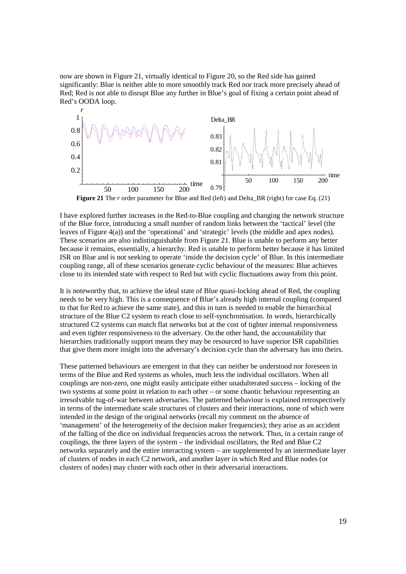now are shown in Figure 21, virtually identical to Figure 20, so the Red side has gained significantly: Blue is neither able to more smoothly track Red nor track more precisely ahead of Red; Red is not able to disrupt Blue any further in Blue's goal of fixing a certain point ahead of Red's OODA loop.



**Figure 21** The *r* order parameter for Blue and Red (left) and Delta BR (right) for case Eq. (21)

I have explored further increases in the Red-to-Blue coupling and changing the network structure of the Blue force, introducing a small number of random links between the 'tactical' level (the leaves of Figure 4(a)) and the 'operational' and 'strategic' levels (the middle and apex nodes). These scenarios are also indistinguishable from Figure 21. Blue is unable to perform any better because it remains, essentially, a hierarchy. Red is unable to perform better because it has limited ISR on Blue and is not seeking to operate 'inside the decision cycle' of Blue. In this intermediate coupling range, all of these scenarios generate cyclic behaviour of the measures: Blue achieves close to its intended state with respect to Red but with cyclic fluctuations away from this point.

It is noteworthy that, to achieve the ideal state of Blue quasi-locking ahead of Red, the coupling needs to be very high. This is a consequence of Blue's already high internal coupling (compared to that for Red to achieve the same state), and this in turn is needed to enable the hierarchical structure of the Blue C2 system to reach close to self-synchronisation. In words, hierarchically structured C2 systems can match flat networks but at the cost of tighter internal responsiveness and even tighter responsiveness to the adversary. On the other hand, the accountability that hierarchies traditionally support means they may be resourced to have superior ISR capabilities that give them more insight into the adversary's decision cycle than the adversary has into theirs.

These patterned behaviours are emergent in that they can neither be understood nor foreseen in terms of the Blue and Red systems as wholes, much less the individual oscillators. When all couplings are non-zero, one might easily anticipate either unadulterated success – locking of the two systems at some point in relation to each other – or some chaotic behaviour representing an irresolvable tug-of-war between adversaries. The patterned behaviour is explained retrospectively in terms of the intermediate scale structures of clusters and their interactions, none of which were intended in the design of the original networks (recall my comment on the absence of 'management' of the heterogeneity of the decision maker frequencies); they arise as an accident of the falling of the dice on individual frequencies across the network. Thus, in a certain range of couplings, the three layers of the system – the individual oscillators, the Red and Blue C2 networks separately and the entire interacting system – are supplemented by an intermediate layer of clusters of nodes in each C2 network, and another layer in which Red and Blue nodes (or clusters of nodes) may cluster with each other in their adversarial interactions.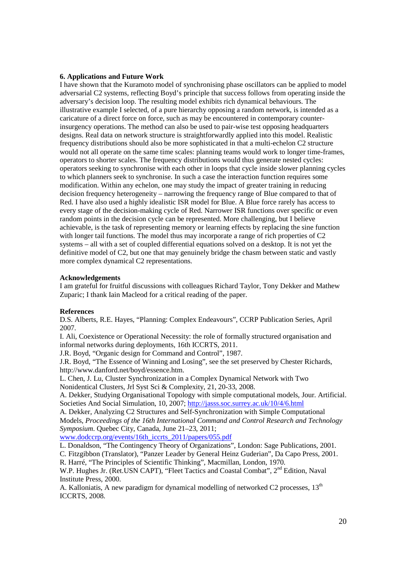### **6. Applications and Future Work**

I have shown that the Kuramoto model of synchronising phase oscillators can be applied to model adversarial C2 systems, reflecting Boyd's principle that success follows from operating inside the adversary's decision loop. The resulting model exhibits rich dynamical behaviours. The illustrative example I selected, of a pure hierarchy opposing a random network, is intended as a caricature of a direct force on force, such as may be encountered in contemporary counterinsurgency operations. The method can also be used to pair-wise test opposing headquarters designs. Real data on network structure is straightforwardly applied into this model. Realistic frequency distributions should also be more sophisticated in that a multi-echelon C2 structure would not all operate on the same time scales: planning teams would work to longer time-frames, operators to shorter scales. The frequency distributions would thus generate nested cycles: operators seeking to synchronise with each other in loops that cycle inside slower planning cycles to which planners seek to synchronise. In such a case the interaction function requires some modification. Within any echelon, one may study the impact of greater training in reducing decision frequency heterogeneity – narrowing the frequency range of Blue compared to that of Red. I have also used a highly idealistic ISR model for Blue. A Blue force rarely has access to every stage of the decision-making cycle of Red. Narrower ISR functions over specific or even random points in the decision cycle can be represented. More challenging, but I believe achievable, is the task of representing memory or learning effects by replacing the sine function with longer tail functions. The model thus may incorporate a range of rich properties of C2 systems – all with a set of coupled differential equations solved on a desktop. It is not yet the definitive model of C2, but one that may genuinely bridge the chasm between static and vastly more complex dynamical C2 representations.

#### **Acknowledgements**

I am grateful for fruitful discussions with colleagues Richard Taylor, Tony Dekker and Mathew Zuparic; I thank Iain Macleod for a critical reading of the paper.

#### **References**

D.S. Alberts, R.E. Hayes, "Planning: Complex Endeavours", CCRP Publication Series, April 2007.

I. Ali, Coexistence or Operational Necessity: the role of formally structured organisation and informal networks during deployments, 16th ICCRTS, 2011.

J.R. Boyd, "Organic design for Command and Control", 1987.

J.R. Boyd, "The Essence of Winning and Losing", see the set preserved by Chester Richards, http://www.danford.net/boyd/essence.htm.

L. Chen, J. Lu, Cluster Synchronization in a Complex Dynamical Network with Two Nonidentical Clusters, Jrl Syst Sci & Complexity, 21, 20-33, 2008.

A. Dekker, Studying Organisational Topology with simple computational models, Jour. Artificial. Societies And Social Simulation, 10, 2007; http://jasss.soc.surrey.ac.uk/10/4/6.html

A. Dekker, Analyzing C2 Structures and Self-Synchronization with Simple Computational Models, *Proceedings of the 16th International Command and Control Research and Technology Symposium*. Quebec City, Canada, June 21–23, 2011;

www.dodccrp.org/events/16th\_iccrts\_2011/papers/055.pdf

L. Donaldson, "The Contingency Theory of Organizations", London: Sage Publications, 2001.

C. Fitzgibbon (Translator), "Panzer Leader by General Heinz Guderian", Da Capo Press, 2001. R. Harré, "The Principles of Scientific Thinking", Macmillan, London, 1970.

W.P. Hughes Jr. (Ret.USN CAPT), "Fleet Tactics and Coastal Combat", 2<sup>nd</sup> Edition, Naval Institute Press, 2000.

A. Kalloniatis, A new paradigm for dynamical modelling of networked C2 processes,  $13<sup>th</sup>$ ICCRTS, 2008.